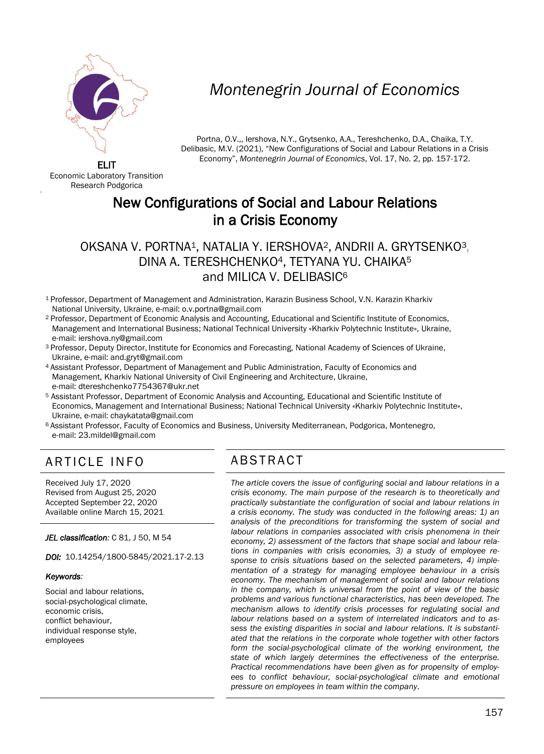

# *Montenegrin Journal of Economics*

Portna, O.V.,, Iershova, N.Y., Grytsenko, A.A., Tereshchenko, D.A., Chaika, T.Y. Delibasic, M.V. (2021), "New Configurations of Social and Labour Relations in a Crisis Economy", *Montenegrin Journal of Economics*, Vol. 17, No. 2, pp. 157-172.

ELIT Economic Laboratory Transition Research Podgorica

'

# New Configurations of Social and Labour Relations in a Crisis Economy

#### OKSANA V. PORTNA1, NATALIA Y. IERSHOVA2, ANDRII A. GRYTSENKO3, DINA A. TERESHCHENKO4, TETYANA YU. CHAIKA<sup>5</sup> and MILICA V. DELIBASIC<sup>6</sup>

- <sup>1</sup>Professor, Department of Management and Administration, Karazin Business School, V.N. Karazin Kharkiv National University, Ukraine, e-mail[: o.v.portna@gmail.com](mailto:o.v.portna@gmail.com)
- <sup>2</sup>Professor, Department of Economic Analysis and Accounting, Educational and Scientific Institute of Economics, Management and International Business; National Technical University «Kharkiv Polytechnic Institute», Ukraine, e-mail: [iershova.ny@gmail.com](mailto:iershova.ny@gmail.com)
- <sup>3</sup> Professor, Deputy Director, Institute for Economics and Forecasting, National Academy of Sciences of Ukraine, Ukraine, e-mail: and.gryt@gmail.com
- <sup>4</sup>Assistant Professor, Department of Management and Public Administration, Faculty of Economics and Management, Kharkiv National University of Civil Engineering and Architecture, Ukraine, e-mail[: dtereshchenko7754367@ukr.net](mailto:dtereshchenko7754367@ukr.net)
- <sup>5</sup> Assistant Professor, Department of Economic Analysis and Accounting, Educational and Scientific Institute of Economics, Management and International Business; National Technical University «Kharkiv Polytechnic Institute», Ukraine, e-mail: [chaykatata@gmail.com](mailto:chaykatata@gmail.com)
- 6 Assistant Professor, Faculty of Economics and Business, University Mediterranean, Podgorica, Montenegro, e-mail[: 23.mildel@gmail.com](mailto:23.mildel@gmail.com)

## ARTICLE INFO ABSTRACT

Received July 17, 2020 Revised from August 25, 2020 Accepted September 22, 2020 Available online March 15, 2021

*JEL classification:* C 81, J 50, M 54

*DOI:* 10.14254/1800-5845/2021.17-2.13

#### *Keywords:*

Social and labour relations, social-psychological climate, economic crisis, conflict behaviour, individual response style, employees

 *The article covers the issue of configuring social and labour relations in a crisis economy. The main purpose of the research is to theoretically and practically substantiate the configuration of social and labour relations in a crisis economy. The study was conducted in the following areas: 1) an analysis of the preconditions for transforming the system of social and labour relations in companies associated with crisis phenomena in their economy, 2) assessment of the factors that shape social and labour relations in companies with crisis economies, 3) a study of employee response to crisis situations based on the selected parameters, 4) implementation of a strategy for managing employee behaviour in a crisis economy. The mechanism of management of social and labour relations in the company, which is universal from the point of view of the basic problems and various functional characteristics, has been developed. The mechanism allows to identify crisis processes for regulating social and labour relations based on a system of interrelated indicators and to assess the existing disparities in social and labour relations. It is substantiated that the relations in the corporate whole together with other factors form the social-psychological climate of the working environment, the state of which largely determines the effectiveness of the enterprise. Practical recommendations have been given as for propensity of employees to conflict behaviour, social-psychological climate and emotional pressure on employees in team within the company*.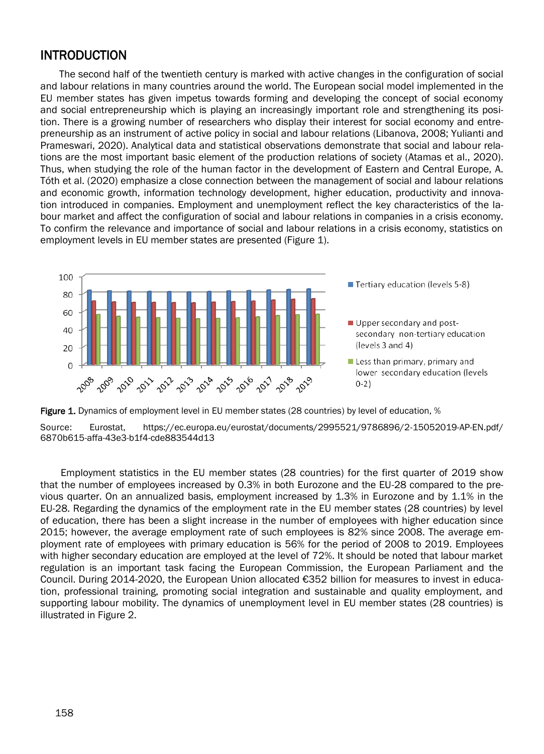#### **INTRODUCTION**

The second half of the twentieth century is marked with active changes in the configuration of social and labour relations in many countries around the world. The European social model implemented in the EU member states has given impetus towards forming and developing the concept of social economy and social entrepreneurship which is playing an increasingly important role and strengthening its position. There is a growing number of researchers who display their interest for social economy and entrepreneurship as an instrument of active policy in social and labour relations (Libanova, 2008; Yulianti and Prameswari, 2020). Analytical data and statistical observations demonstrate that social and labour relations are the most important basic element of the production relations of society (Atamas et аl., 2020). Thus, when studying the role of the human factor in the development of Eastern and Central Europe, A. Tóth et al. (2020) emphasize a close connection between the management of social and labour relations and economic growth, information technology development, higher education, productivity and innovation introduced in companies. Employment and unemployment reflect the key characteristics of the labour market and affect the configuration of social and labour relations in companies in a crisis economy. To confirm the relevance and importance of social and labour relations in a crisis economy, statistics on employment levels in EU member states are presented (Figure 1).





Employment statistics in the EU member states (28 countries) for the first quarter of 2019 show that the number of employees increased by 0.3% in both Eurozone and the EU-28 compared to the previous quarter. On an annualized basis, employment increased by 1.3% in Eurozone and by 1.1% in the EU-28. Regarding the dynamics of the employment rate in the EU member states (28 countries) by level of education, there has been a slight increase in the number of employees with higher education since 2015; however, the average employment rate of such employees is 82% since 2008. The average employment rate of employees with primary education is 56% for the period of 2008 to 2019. Employees with higher secondary education are employed at the level of 72%. It should be noted that labour market regulation is an important task facing the European Commission, the European Parliament and the Council. During 2014-2020, the European Union allocated €352 billion for measures to invest in education, professional training, promoting social integration and sustainable and quality employment, and supporting labour mobility. The dynamics of unemployment level in EU member states (28 countries) is illustrated in Figure 2.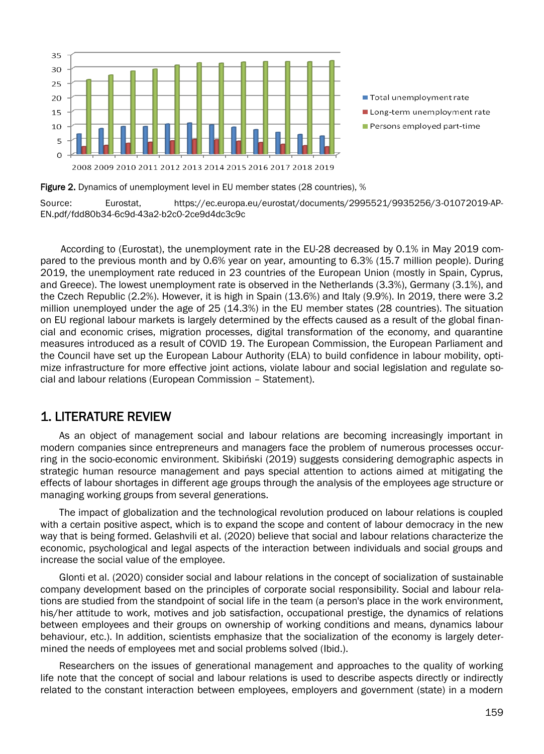

Figure 2. Dynamics of unemployment level in EU member states (28 countries), %

Source: Eurostat, https://ec.europa.eu/eurostat/documents/2995521/9935256/3-01072019-AP-EN.pdf/fdd80b34-6c9d-43a2-b2c0-2ce9d4dc3c9c

According to (Eurostat), the unemployment rate in the EU-28 decreased by 0.1% in May 2019 compared to the previous month and by 0.6% year on year, amounting to 6.3% (15.7 million people). During 2019, the unemployment rate reduced in 23 countries of the European Union (mostly in Spain, Cyprus, and Greece). The lowest unemployment rate is observed in the Netherlands (3.3%), Germany (3.1%), and the Czech Republic (2.2%). However, it is high in Spain (13.6%) and Italy (9.9%). In 2019, there were 3.2 million unemployed under the age of 25 (14.3%) in the EU member states (28 countries). The situation on EU regional labour markets is largely determined by the effects caused as a result of the global financial and economic crises, migration processes, digital transformation of the economy, and quarantine measures introduced as a result of COVID 19. The European Commission, the European Parliament and the Council have set up the European Labour Authority (ELA) to build confidence in labour mobility, optimize infrastructure for more effective joint actions, violate labour and social legislation and regulate social and labour relations (European Commission – Statement).

#### 1. LITERATURE REVIEW

As an object of management social and labour relations are becoming increasingly important in modern companies since entrepreneurs and managers face the problem of numerous processes occurring in the socio-economic environment. Skibiński (2019) suggests considering demographic aspects in strategic human resource management and pays special attention to actions aimed at mitigating the effects of labour shortages in different age groups through the analysis of the employees age structure or managing working groups from several generations.

The impact of globalization and the technological revolution produced on labour relations is coupled with a certain positive aspect, which is to expand the scope and content of labour democracy in the new way that is being formed. Gelashvili et al. (2020) believe that social and labour relations characterize the economic, psychological and legal aspects of the interaction between individuals and social groups and increase the social value of the employee.

Glonti et al. (2020) consider social and labour relations in the concept of socialization of sustainable company development based on the principles of corporate social responsibility. Social and labour relations are studied from the standpoint of social life in the team (a person's place in the work environment, his/her attitude to work, motives and job satisfaction, occupational prestige, the dynamics of relations between employees and their groups on ownership of working conditions and means, dynamics labour behaviour, etc.). In addition, scientists emphasize that the socialization of the economy is largely determined the needs of employees met and social problems solved (Ibid.).

Researchers on the issues of generational management and approaches to the quality of working life note that the concept of social and labour relations is used to describe aspects directly or indirectly related to the constant interaction between employees, employers and government (state) in a modern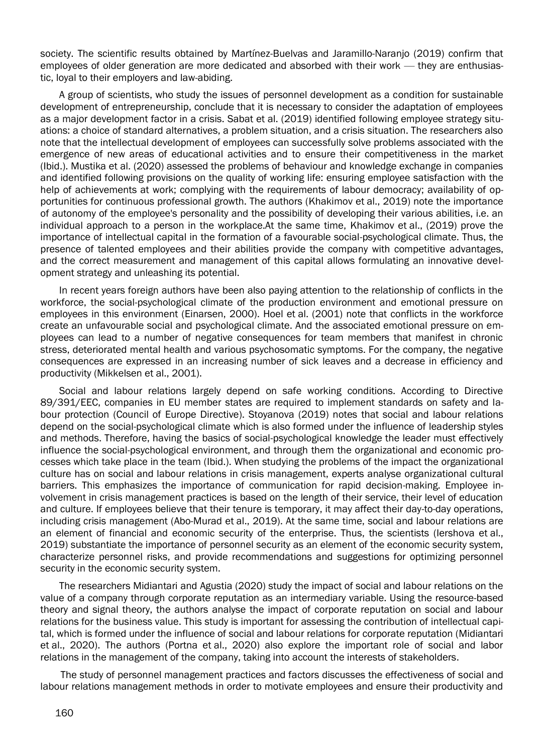society. The scientific results obtained by Martínez-Buelvas and Jaramillo-Naranjo (2019) confirm that employees of older generation are more dedicated and absorbed with their work — they are enthusiastic, loyal to their employers and law-abiding.

A group of scientists, who study the issues of personnel development as a condition for sustainable development of entrepreneurship, conclude that it is necessary to consider the adaptation of employees as a major development factor in a crisis. Sabat et al. (2019) identified following employee strategy situations: a choice of standard alternatives, a problem situation, and a crisis situation. The researchers also note that the intellectual development of employees can successfully solve problems associated with the emergence of new areas of educational activities and to ensure their competitiveness in the market (Ibid.). Mustika et al. (2020) assessed the problems of behaviour and knowledge exchange in companies and identified following provisions on the quality of working life: ensuring employee satisfaction with the help of achievements at work; complying with the requirements of labour democracy; availability of opportunities for continuous professional growth. The authors (Khakimov et al., 2019) note the importance of autonomy of the employee's personality and the possibility of developing their various abilities, i.e. an individual approach to a person in the workplace.At the same time, Khakimov et al., (2019) prove the importance of intellectual capital in the formation of a favourable social-psychological climate. Thus, the presence of talented employees and their abilities provide the company with competitive advantages, and the correct measurement and management of this capital allows formulating an innovative development strategy and unleashing its potential.

In recent years foreign authors have been also paying attention to the relationship of conflicts in the workforce, the social-psychological climate of the production environment and emotional pressure on employees in this environment (Einarsen, 2000). Hoel et al. (2001) note that conflicts in the workforce create an unfavourable social and psychological climate. And the associated emotional pressure on employees can lead to a number of negative consequences for team members that manifest in chronic stress, deteriorated mental health and various psychosomatic symptoms. For the company, the negative consequences are expressed in an increasing number of sick leaves and a decrease in efficiency and productivity (Mikkelsen et al., 2001).

Social and labour relations largely depend on safe working conditions. According to Directive 89/391/EEC, companies in EU member states are required to implement standards on safety and labour protection (Council of Europe Directive). Stoyanova (2019) notes that social and labour relations depend on the social-psychological climate which is also formed under the influence of leadership styles and methods. Therefore, having the basics of social-psychological knowledge the leader must effectively influence the social-psychological environment, and through them the organizational and economic processes which take place in the team (Ibid.). When studying the problems of the impact the organizational culture has on social and labour relations in crisis management, experts analyse organizational cultural barriers. This emphasizes the importance of communication for rapid decision-making. Employee involvement in crisis management practices is based on the length of their service, their level of education and culture. If employees believe that their tenure is temporary, it may affect their day-to-day operations, including crisis management (Abo-Murad et al., 2019). At the same time, social and labour relations are an element of financial and economic security of the enterprise. Thus, the scientists (Iershova et al., 2019) substantiate the importance of personnel security as an element of the economic security system, characterize personnel risks, and provide recommendations and suggestions for optimizing personnel security in the economic security system.

The researchers Midiantari and Agustia (2020) study the impact of social and labour relations on the value of a company through corporate reputation as an intermediary variable. Using the resource-based theory and signal theory, the authors analyse the impact of corporate reputation on social and labour relations for the business value. This study is important for assessing the contribution of intellectual capital, which is formed under the influence of social and labour relations for corporate reputation (Midiantari et al., 2020). The authors (Portna et al., 2020) also explore the important role of social and labor relations in the management of the company, taking into account the interests of stakeholders.

The study of personnel management practices and factors discusses the effectiveness of social and labour relations management methods in order to motivate employees and ensure their productivity and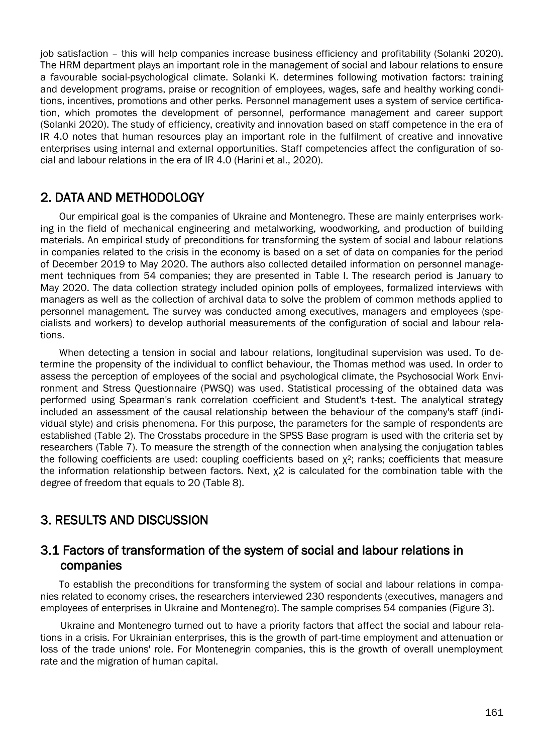job satisfaction – this will help companies increase business efficiency and profitability (Solanki 2020). The HRM department plays an important role in the management of social and labour relations to ensure a favourable social-psychological climate. Solanki K. determines following motivation factors: training and development programs, praise or recognition of employees, wages, safe and healthy working conditions, incentives, promotions and other perks. Personnel management uses a system of service certification, which promotes the development of personnel, performance management and career support (Solanki 2020). The study of efficiency, creativity and innovation based on staff competence in the era of IR 4.0 notes that human resources play an important role in the fulfilment of creative and innovative enterprises using internal and external opportunities. Staff competencies affect the configuration of social and labour relations in the era of IR 4.0 (Harini et al., 2020).

#### 2. DATA AND METHODOLOGY

Our empirical goal is the companies of Ukraine and Montenegro. These are mainly enterprises working in the field of mechanical engineering and metalworking, woodworking, and production of building materials. An empirical study of preconditions for transforming the system of social and labour relations in companies related to the crisis in the economy is based on a set of data on companies for the period of December 2019 to May 2020. The authors also collected detailed information on personnel management techniques from 54 companies; they are presented in Table I. The research period is January to May 2020. The data collection strategy included opinion polls of employees, formalized interviews with managers as well as the collection of archival data to solve the problem of common methods applied to personnel management. The survey was conducted among executives, managers and employees (specialists and workers) to develop authorial measurements of the configuration of social and labour relations.

When detecting a tension in social and labour relations, longitudinal supervision was used. To determine the propensity of the individual to conflict behaviour, the Thomas method was used. In order to assess the perception of employees of the social and psychological climate, the Psychosocial Work Environment and Stress Questionnaire (PWSQ) was used. Statistical processing of the obtained data was performed using Spearman's rank correlation coefficient and Student's t-test. The analytical strategy included an assessment of the causal relationship between the behaviour of the company's staff (individual style) and crisis phenomena. For this purpose, the parameters for the sample of respondents are established (Table 2). The Crosstabs procedure in the SPSS Base program is used with the criteria set by researchers (Table 7). To measure the strength of the connection when analysing the conjugation tables the following coefficients are used: coupling coefficients based on  $\chi^2$ ; ranks; coefficients that measure the information relationship between factors. Next, χ2 is calculated for the combination table with the degree of freedom that equals to 20 (Table 8).

### 3. RESULTS AND DISCUSSION

#### 3.1 Factors of transformation of the system of social and labour relations in companies

To establish the preconditions for transforming the system of social and labour relations in companies related to economy crises, the researchers interviewed 230 respondents (executives, managers and employees of enterprises in Ukraine and Montenegro). The sample comprises 54 companies (Figure 3).

Ukraine and Montenegro turned out to have a priority factors that affect the social and labour relations in a crisis. For Ukrainian enterprises, this is the growth of part-time employment and attenuation or loss of the trade unions' role. For Montenegrin companies, this is the growth of overall unemployment rate and the migration of human capital.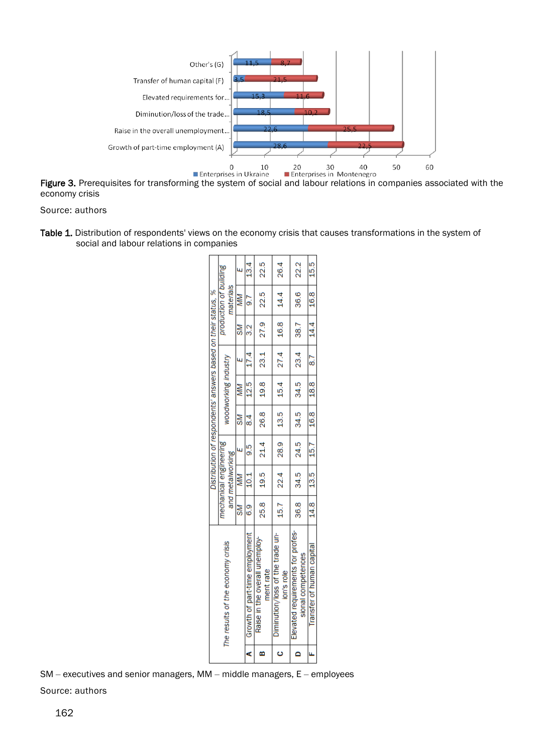

economy crisis

Source: authors

Table 1. Distribution of respondents' views on the economy crisis that causes transformations in the system of social and labour relations in companies

|                                    |                |                        | Distribution of respondents' answers based on their status, % |           |                      |               |                  |                             |         |
|------------------------------------|----------------|------------------------|---------------------------------------------------------------|-----------|----------------------|---------------|------------------|-----------------------------|---------|
| The results of the economy crisis  |                | mechanical engineering |                                                               |           | woodworking industry |               |                  | production of building      |         |
|                                    |                | and metalworking       |                                                               |           |                      |               |                  | materials                   |         |
|                                    | $\mathbb{R}^2$ | MN                     | $\frac{1}{2}$                                                 | $SMI$ MM  |                      | $\frac{1}{2}$ | $S/M$            | M/M                         | ب<br>سا |
| A   Growth of part-time employment | 。<br>©         | 10.1                   |                                                               | $9.5$ 8.4 | 12.5                 | 17.4          | $\overline{3.2}$ | $\frac{1}{2}$               | 13.4    |
| Raise in the overall unemploy-     |                |                        | $25.8$   19.5   21.4   26.8   19.8   23.1   27.9   22.5       |           |                      |               |                  |                             | 22.5    |
| ment rate                          |                |                        |                                                               |           |                      |               |                  |                             |         |
| Diminution/loss of the trade un-   |                |                        | $15.7$   22.4   28.9   13.5   15.4   27.4   16.8   14.4       |           |                      |               |                  |                             | 26.4    |
| ion's role                         |                |                        |                                                               |           |                      |               |                  |                             |         |
| Elevated requirements for profes-  | 36.8           |                        | $34.5$   24.5   34.5                                          |           |                      |               |                  | $34.5$   23.4   38.7   36.6 | 22.2    |
| sional competences                 |                |                        |                                                               |           |                      |               |                  |                             |         |
| Transfer of human capital          |                |                        | $14.8$   13.5   15.7   16.8   18.8   8.7   14.4   16.8   15.5 |           |                      |               |                  |                             |         |
|                                    |                |                        |                                                               |           |                      |               |                  |                             |         |

l. SM – executives and senior managers, MM – middle managers, E – employees Source: authors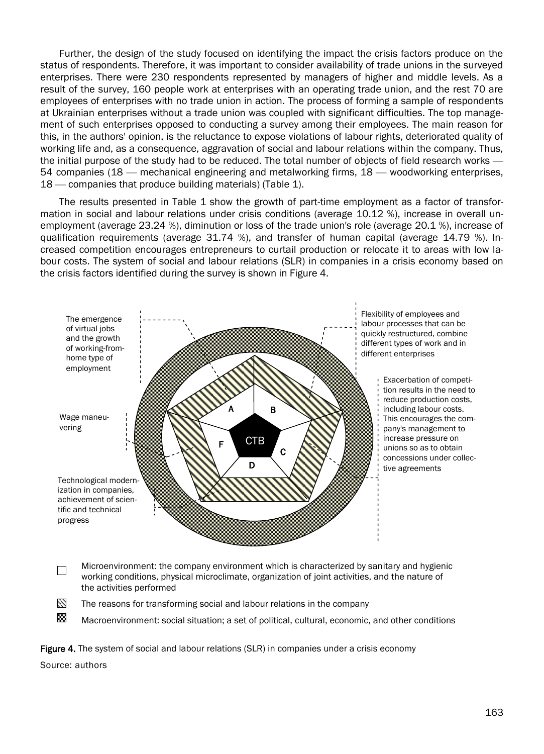Further, the design of the study focused on identifying the impact the crisis factors produce on the status of respondents. Therefore, it was important to consider availability of trade unions in the surveyed enterprises. There were 230 respondents represented by managers of higher and middle levels. As a result of the survey, 160 people work at enterprises with an operating trade union, and the rest 70 are employees of enterprises with no trade union in action. The process of forming a sample of respondents at Ukrainian enterprises without a trade union was coupled with significant difficulties. The top management of such enterprises opposed to conducting a survey among their employees. The main reason for this, in the authors' opinion, is the reluctance to expose violations of labour rights, deteriorated quality of working life and, as a consequence, aggravation of social and labour relations within the company. Thus, the initial purpose of the study had to be reduced. The total number of objects of field research works -54 companies (18 — mechanical engineering and metalworking firms, 18 — woodworking enterprises, 18 — companies that produce building materials) (Table 1).

The results presented in Table 1 show the growth of part-time employment as a factor of transformation in social and labour relations under crisis conditions (average 10.12 %), increase in overall unemployment (average 23.24 %), diminution or loss of the trade union's role (average 20.1 %), increase of qualification requirements (average 31.74 %), and transfer of human capital (average 14.79 %). Increased competition encourages entrepreneurs to curtail production or relocate it to areas with low labour costs. The system of social and labour relations (SLR) in companies in a crisis economy based on the crisis factors identified during the survey is shown in Figure 4.



Microenvironment: the company environment which is characterized by sanitary and hygienic  $\Box$ working conditions, physical microclimate, organization of joint activities, and the nature of the activities performed

11 The reasons for transforming social and labour relations in the company

Macroenvironment: social situation; a set of political, cultural, economic, and other conditions

Figure 4. The system of social and labour relations (SLR) in companies under a crisis economy

Source: authors

88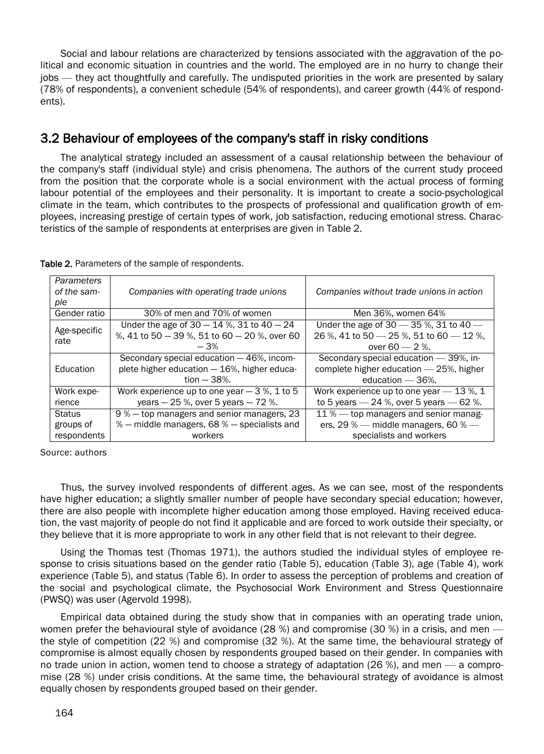Social and labour relations are characterized by tensions associated with the aggravation of the political and economic situation in countries and the world. The employed are in no hurry to change their jobs — they act thoughtfully and carefully. The undisputed priorities in the work are presented by salary (78% of respondents), a convenient schedule (54% of respondents), and career growth (44% of respondents).

#### 3.2 Behaviour of employees of the company's staff in risky conditions

The analytical strategy included an assessment of a causal relationship between the behaviour of the company's staff (individual style) and crisis phenomena. The authors of the current study proceed from the position that the corporate whole is a social environment with the actual process of forming labour potential of the employees and their personality. It is important to create a socio-psychological climate in the team, which contributes to the prospects of professional and qualification growth of employees, increasing prestige of certain types of work, job satisfaction, reducing emotional stress. Characteristics of the sample of respondents at enterprises are given in Table 2.

| <b>Parameters</b><br>of the sam-<br>ple | Companies with operating trade unions                                                                      | Companies without trade unions in action                                                                     |
|-----------------------------------------|------------------------------------------------------------------------------------------------------------|--------------------------------------------------------------------------------------------------------------|
| Gender ratio                            | 30% of men and 70% of women                                                                                | Men 36%, women 64%                                                                                           |
| Age-specific<br>rate                    | Under the age of $30 - 14$ %, 31 to $40 - 24$<br>%, 41 to 50 - 39 %, 51 to 60 - 20 %, over 60<br>$-3%$     | Under the age of 30 $-$ 35 %, 31 to 40 $-$<br>26 %, 41 to 50 $-$ 25 %, 51 to 60 $-$ 12 %,<br>over 60 $-2$ %. |
| Education                               | Secondary special education - 46%, incom-<br>plete higher education - 16%, higher educa-<br>$tion - 38%$ . | Secondary special education - 39%, in-<br>complete higher education - 25%, higher<br>education $-36%$ .      |
| Work expe-<br>rience                    | Work experience up to one year $-3$ %, 1 to 5<br>years - 25 %, over 5 years - 72 %.                        | Work experience up to one year - 13 %, 1<br>to 5 years $-24$ %, over 5 years $-62$ %.                        |
| Status<br>groups of<br>respondents      | 9% – top managers and senior managers, 23<br>% - middle managers, 68 % - specialists and<br>workers        | 11% — top managers and senior manag-<br>ers, 29 % — middle managers, 60 % —<br>specialists and workers       |

Table 2. Parameters of the sample of respondents.

Source: authors

Thus, the survey involved respondents of different ages. As we can see, most of the respondents have higher education; a slightly smaller number of people have secondary special education; however, there are also people with incomplete higher education among those employed. Having received education, the vast majority of people do not find it applicable and are forced to work outside their specialty, or they believe that it is more appropriate to work in any other field that is not relevant to their degree.

Using the Thomas test (Thomas 1971), the authors studied the individual styles of employee response to crisis situations based on the gender ratio (Table 5), education (Table 3), age (Table 4), work experience (Table 5), and status (Table 6). In order to assess the perception of problems and creation of the social and psychological climate, the Psychosocial Work Environment and Stress Questionnaire (PWSQ) was user (Agervold 1998).

Empirical data obtained during the study show that in companies with an operating trade union, women prefer the behavioural style of avoidance (28 %) and compromise (30 %) in a crisis, and men the style of competition (22 %) and compromise (32 %). At the same time, the behavioural strategy of compromise is almost equally chosen by respondents grouped based on their gender. In companies with no trade union in action, women tend to choose a strategy of adaptation (26 %), and men — a compromise (28 %) under crisis conditions. At the same time, the behavioural strategy of avoidance is almost equally chosen by respondents grouped based on their gender.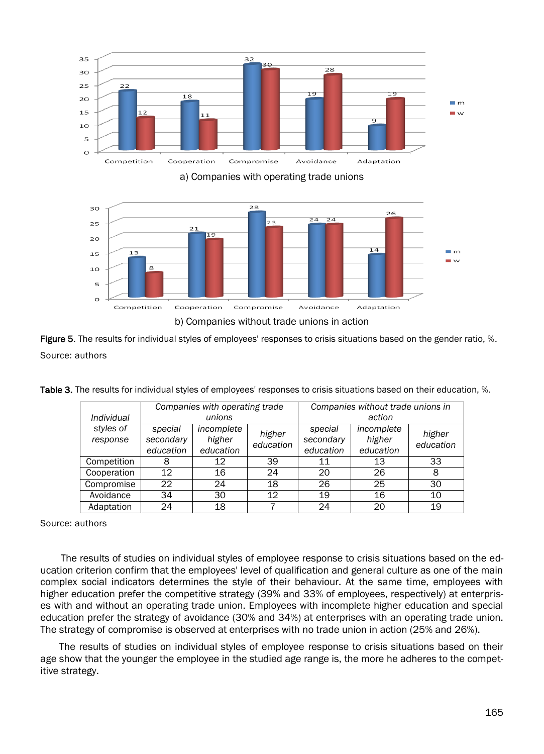

а) Companies with operating trade unions



Figure 5. The results for individual styles of employees' responses to crisis situations based on the gender ratio, %. Source: authors

|                       |                                   | Companies with operating trade    |                     | Companies without trade unions in |                                   |                     |
|-----------------------|-----------------------------------|-----------------------------------|---------------------|-----------------------------------|-----------------------------------|---------------------|
| Individual            |                                   | unions                            |                     |                                   | action                            |                     |
| styles of<br>response | special<br>secondary<br>education | incomplete<br>higher<br>education | higher<br>education | special<br>secondary<br>education | incomplete<br>higher<br>education | higher<br>education |
|                       |                                   |                                   |                     |                                   |                                   |                     |
| Competition           | 8                                 | 12                                | 39                  | 11                                | 13                                | 33                  |
| Cooperation           | 12                                | 16                                | 24                  | 20                                | 26                                | 8                   |
| Compromise            | 22                                | 24                                | 18                  | 26                                | 25                                | 30                  |
| Avoidance             | 34                                | 30                                | 12                  | 19                                | 16                                | 10                  |
| Adaptation            | 24                                | 18                                |                     | 24                                | 20                                | 19                  |

Table 3. The results for individual styles of employees' responses to crisis situations based on their education, %.

Source: authors

The results of studies on individual styles of employee response to crisis situations based on the education criterion confirm that the employees' level of qualification and general culture as one of the main complex social indicators determines the style of their behaviour. At the same time, employees with higher education prefer the competitive strategy (39% and 33% of employees, respectively) at enterprises with and without an operating trade union. Employees with incomplete higher education and special education prefer the strategy of avoidance (30% and 34%) at enterprises with an operating trade union. The strategy of compromise is observed at enterprises with no trade union in action (25% and 26%).

The results of studies on individual styles of employee response to crisis situations based on their age show that the younger the employee in the studied age range is, the more he adheres to the competitive strategy.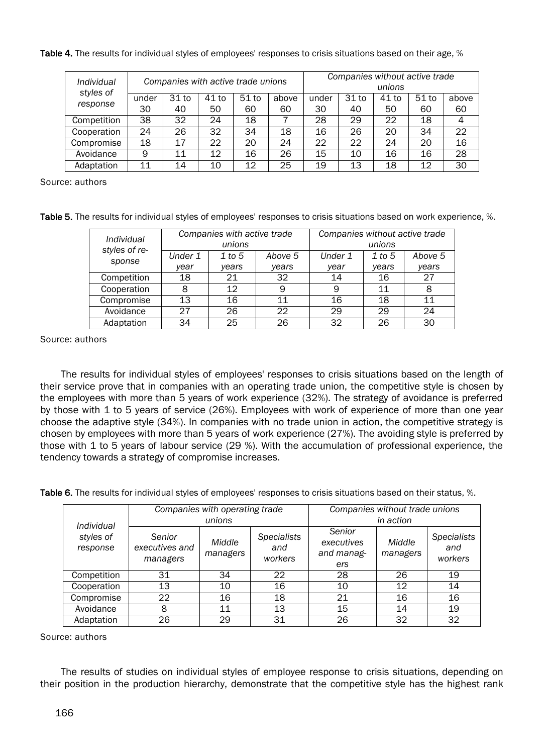|  | Table 4. The results for individual styles of employees' responses to crisis situations based on their age, % |
|--|---------------------------------------------------------------------------------------------------------------|
|  |                                                                                                               |
|  |                                                                                                               |

| Individual<br>styles of |       |       | Companies with active trade unions |                  |       |       |         | Companies without active trade<br>unions |         |       |
|-------------------------|-------|-------|------------------------------------|------------------|-------|-------|---------|------------------------------------------|---------|-------|
| response                | under | 31 to | 41 to                              | 51 <sub>to</sub> | above | under | $31$ to | 41 to                                    | $51$ to | above |
|                         | 30    | 40    | 50                                 | 60               | 60    | 30    | 40      | 50                                       | 60      | 60    |
| Competition             | 38    | 32    | 24                                 | 18               |       | 28    | 29      | 22                                       | 18      | 4     |
| Cooperation             | 24    | 26    | 32                                 | 34               | 18    | 16    | 26      | 20                                       | 34      | 22    |
| Compromise              | 18    | 17    | 22                                 | 20               | 24    | 22    | 22      | 24                                       | 20      | 16    |
| Avoidance               | 9     | 11    | 12                                 | 16               | 26    | 15    | 10      | 16                                       | 16      | 28    |
| Adaptation              | 11    | 14    | 10                                 | 12               | 25    | 19    | 13      | 18                                       | 12      | 30    |

Source: authors

Table 5. The results for individual styles of employees' responses to crisis situations based on work experience, %.

| Individual<br>styles of re- |         | Companies with active trade<br>unions |         | Companies without active trade | unions |         |
|-----------------------------|---------|---------------------------------------|---------|--------------------------------|--------|---------|
| sponse                      | Under 1 | $1$ to 5                              | Above 5 | Under 1                        | 1 to 5 | Above 5 |
|                             | year    | years                                 | years   | year                           | years  | years   |
| Competition                 | 18      | 21                                    | 32      | 14                             | 16     | 27      |
| Cooperation                 | 8       | 12                                    | 9       | 9                              | 11     | 8       |
| Compromise                  | 13      | 16                                    | 11      | 16                             | 18     | 11      |
| Avoidance                   | 27      | 26                                    | 22      | 29                             | 29     | 24      |
| Adaptation                  | 34      | 25                                    | 26      | 32                             | 26     | 30      |

Source: authors

The results for individual styles of employees' responses to crisis situations based on the length of their service prove that in companies with an operating trade union, the competitive style is chosen by the employees with more than 5 years of work experience (32%). The strategy of avoidance is preferred by those with 1 to 5 years of service (26%). Employees with work of experience of more than one year choose the adaptive style (34%). In companies with no trade union in action, the competitive strategy is chosen by employees with more than 5 years of work experience (27%). The avoiding style is preferred by those with 1 to 5 years of labour service (29 %). With the accumulation of professional experience, the tendency towards a strategy of compromise increases.

Table 6. The results for individual styles of employees' responses to crisis situations based on their status, %.

|                                     |                                      | Companies with operating trade<br>unions |                                      | Companies without trade unions<br>in action |                    |                                      |  |
|-------------------------------------|--------------------------------------|------------------------------------------|--------------------------------------|---------------------------------------------|--------------------|--------------------------------------|--|
| Individual<br>styles of<br>response | Senior<br>executives and<br>managers | Middle<br>managers                       | <b>Specialists</b><br>and<br>workers | Senior<br>executives<br>and manag-<br>ers   | Middle<br>managers | <b>Specialists</b><br>and<br>workers |  |
| Competition                         | 31                                   | 34                                       | 22                                   | 28                                          | 26                 | 19                                   |  |
| Cooperation                         | 13                                   | 10                                       | 16                                   | 10                                          | 12                 | 14                                   |  |
| Compromise                          | 22                                   | 16                                       | 18                                   | 21                                          | 16                 | 16                                   |  |
| Avoidance                           | 8                                    | 11                                       | 13                                   | 15                                          | 14                 | 19                                   |  |
| Adaptation                          | 26                                   | 29                                       | 31                                   | 26                                          | 32                 | 32                                   |  |

Source: authors

The results of studies on individual styles of employee response to crisis situations, depending on their position in the production hierarchy, demonstrate that the competitive style has the highest rank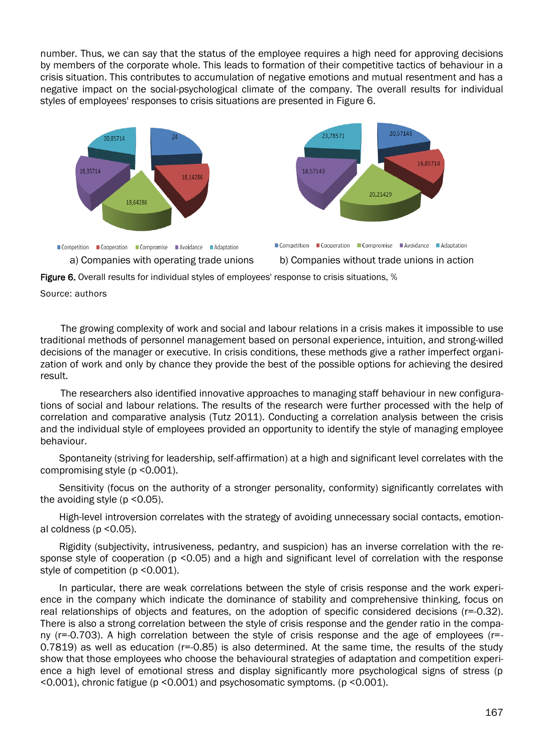number. Thus, we can say that the status of the employee requires a high need for approving decisions by members of the corporate whole. This leads to formation of their competitive tactics of behaviour in a crisis situation. This contributes to accumulation of negative emotions and mutual resentment and has a negative impact on the social-psychological climate of the company. The overall results for individual styles of employees' responses to crisis situations are presented in Figure 6.









Source: authors

The growing complexity of work and social and labour relations in a crisis makes it impossible to use traditional methods of personnel management based on personal experience, intuition, and strong-willed decisions of the manager or executive. In crisis conditions, these methods give a rather imperfect organization of work and only by chance they provide the best of the possible options for achieving the desired result.

The researchers also identified innovative approaches to managing staff behaviour in new configurations of social and labour relations. The results of the research were further processed with the help of correlation and comparative analysis (Tutz 2011). Conducting a correlation analysis between the crisis and the individual style of employees provided an opportunity to identify the style of managing employee behaviour.

Spontaneity (striving for leadership, self-affirmation) at a high and significant level correlates with the compromising style (p <0.001).

Sensitivity (focus on the authority of a stronger personality, conformity) significantly correlates with the avoiding style ( $p$  <0.05).

High-level introversion correlates with the strategy of avoiding unnecessary social contacts, emotional coldness ( $p$  < 0.05).

Rigidity (subjectivity, intrusiveness, pedantry, and suspicion) has an inverse correlation with the response style of cooperation (p <0.05) and a high and significant level of correlation with the response style of competition (p < 0.001).

In particular, there are weak correlations between the style of crisis response and the work experience in the company which indicate the dominance of stability and comprehensive thinking, focus on real relationships of objects and features, on the adoption of specific considered decisions (r=-0.32). There is also a strong correlation between the style of crisis response and the gender ratio in the company (r=-0.703). A high correlation between the style of crisis response and the age of employees (r=-  $0.7819$ ) as well as education ( $r=0.85$ ) is also determined. At the same time, the results of the study show that those employees who choose the behavioural strategies of adaptation and competition experience a high level of emotional stress and display significantly more psychological signs of stress (p <0.001), chronic fatigue (p <0.001) and psychosomatic symptoms. (p <0.001).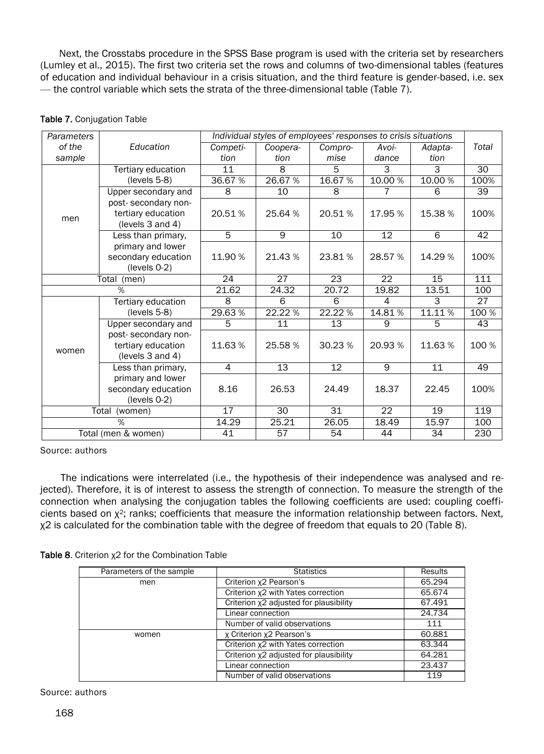Next, the Crosstabs procedure in the SPSS Base program is used with the criteria set by researchers (Lumley et al., 2015). The first two criteria set the rows and columns of two-dimensional tables (features of education and individual behaviour in a crisis situation, and the third feature is gender-based, i.e. sex — the control variable which sets the strata of the three-dimensional table (Table 7).

| <b>Parameters</b> |                                                               |          | Individual styles of employees' responses to crisis situations |         |                 |         |       |
|-------------------|---------------------------------------------------------------|----------|----------------------------------------------------------------|---------|-----------------|---------|-------|
| of the            | Education                                                     | Competi- | Coopera-                                                       | Compro- | Avoi-           | Adapta- | Total |
| sample            |                                                               | tion     | tion                                                           | mise    | dance           | tion    |       |
|                   | Tertiary education                                            | 11       | 8                                                              | 5       | 3               | 3       | 30    |
|                   | $(levels 5-8)$                                                | 36.67%   | 26.67%                                                         | 16.67%  | 10.00 %         | 10.00 % | 100%  |
|                   | Upper secondary and                                           | 8        | 10                                                             | 8       |                 | 6       | 39    |
|                   | post-secondary non-                                           |          |                                                                |         |                 |         |       |
| men               | tertiary education<br>(levels 3 and 4)                        | 20.51%   | 25.64 %                                                        | 20.51%  | 17.95 %         | 15.38 % | 100%  |
|                   | Less than primary,                                            | 5        | 9                                                              | 10      | 12              | 6       | 42    |
|                   | primary and lower<br>secondary education<br>$(levels 0-2)$    | 11.90%   | 21.43%                                                         | 23.81%  | 28.57 %         | 14.29 % | 100%  |
| Total<br>(men)    |                                                               | 24       | 27                                                             | 23      | $\overline{22}$ | 15      | 111   |
|                   | $\frac{1}{2}$                                                 | 21.62    | 24.32                                                          | 20.72   | 19.82           | 13.51   | 100   |
|                   | Tertiary education                                            | 8        | 6                                                              | 6       | 4               | 3       | 27    |
|                   | $(levels 5-8)$                                                | 29.63%   | 22.22 %                                                        | 22.22 % | 14.81%          | 11.11%  | 100 % |
|                   | Upper secondary and                                           | 5        | 11                                                             | 13      | 9               | 5       | 43    |
| women             | post-secondary non-<br>tertiary education<br>(levels 3 and 4) | 11.63%   | 25.58%                                                         | 30.23%  | 20.93%          | 11.63%  | 100 % |
|                   | Less than primary,                                            | 4        | 13                                                             | 12      | 9               | 11      | 49    |
|                   | primary and lower<br>secondary education<br>$(levels 0-2)$    | 8.16     | 26.53                                                          | 24.49   | 18.37           | 22.45   | 100%  |
|                   | Total<br>(women)                                              | 17       | 30                                                             | 31      | 22              | 19      | 119   |
|                   | %                                                             | 14.29    | 25.21                                                          | 26.05   | 18.49           | 15.97   | 100   |
|                   | Total (men & women)                                           | 41       | 57                                                             | 54      | 44              | 34      | 230   |

#### Table 7. Conjugation Table

Source: authors

The indications were interrelated (i.e., the hypothesis of their independence was analysed and rejected). Therefore, it is of interest to assess the strength of connection. To measure the strength of the connection when analysing the conjugation tables the following coefficients are used: coupling coefficients based on χ2; ranks; coefficients that measure the information relationship between factors. Next, χ2 is calculated for the combination table with the degree of freedom that equals to 20 (Table 8).

|  |  | Table 8. Criterion $x^2$ for the Combination Table |  |
|--|--|----------------------------------------------------|--|
|--|--|----------------------------------------------------|--|

| Parameters of the sample | <b>Statistics</b>                      | Results |
|--------------------------|----------------------------------------|---------|
| men                      | Criterion x2 Pearson's                 | 65.294  |
|                          | Criterion x2 with Yates correction     | 65.674  |
|                          | Criterion x2 adjusted for plausibility | 67.491  |
|                          | Linear connection                      | 24.734  |
|                          | Number of valid observations           | 111     |
| women                    | x Criterion x2 Pearson's               | 60.881  |
|                          | Criterion x2 with Yates correction     | 63.344  |
|                          | Criterion x2 adjusted for plausibility | 64.281  |
|                          | Linear connection                      | 23.437  |
|                          | Number of valid observations           | 119     |

Source: authors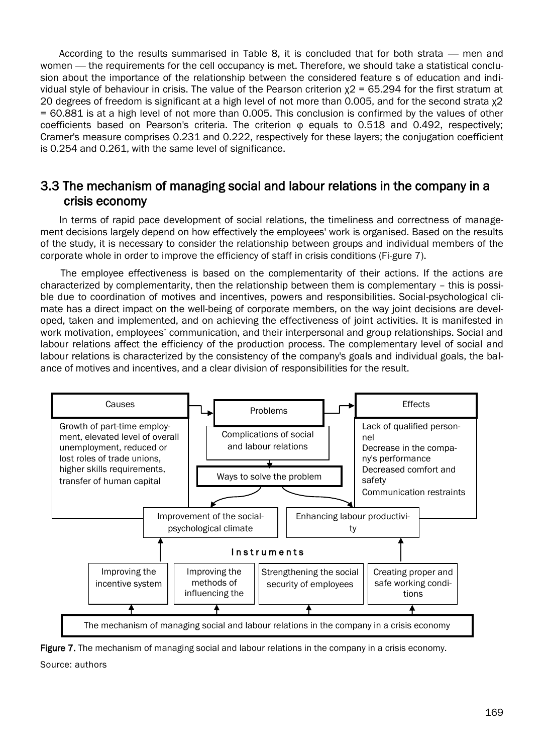According to the results summarised in Table 8, it is concluded that for both strata — men and women — the requirements for the cell occupancy is met. Therefore, we should take a statistical conclusion about the importance of the relationship between the considered feature s of education and individual style of behaviour in crisis. The value of the Pearson criterion  $x^2$  = 65.294 for the first stratum at 20 degrees of freedom is significant at a high level of not more than 0.005, and for the second strata χ2 = 60.881 is at a high level of not more than 0.005. This conclusion is confirmed by the values of other coefficients based on Pearson's criteria. The criterion φ equals to 0.518 and 0.492, respectively; Cramer's measure comprises 0.231 and 0.222, respectively for these layers; the conjugation coefficient is 0.254 and 0.261, with the same level of significance.

#### 3.3 The mechanism of managing social and labour relations in the company in a crisis economy

In terms of rapid pace development of social relations, the timeliness and correctness of management decisions largely depend on how effectively the employees' work is organised. Based on the results of the study, it is necessary to consider the relationship between groups and individual members of the corporate whole in order to improve the efficiency of staff in crisis conditions (Fi-gure 7).

The employee effectiveness is based on the complementarity of their actions. If the actions are characterized by complementarity, then the relationship between them is complementary – this is possible due to coordination of motives and incentives, powers and responsibilities. Social-psychological climate has a direct impact on the well-being of corporate members, on the way joint decisions are developed, taken and implemented, and on achieving the effectiveness of joint activities. It is manifested in work motivation, employees' communication, and their interpersonal and group relationships. Social and labour relations affect the efficiency of the production process. The complementary level of social and labour relations is characterized by the consistency of the company's goals and individual goals, the balance of motives and incentives, and a clear division of responsibilities for the result.



Figure 7. The mechanism of managing social and labour relations in the company in a crisis economy. Source: authors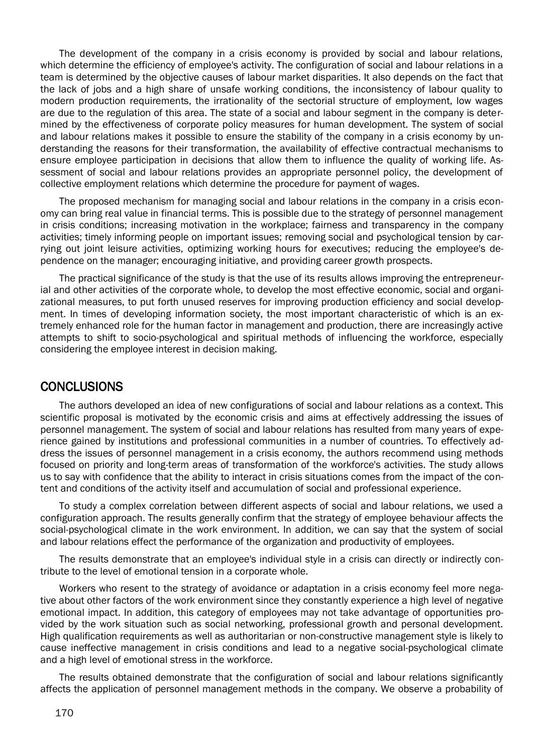The development of the company in a crisis economy is provided by social and labour relations, which determine the efficiency of employee's activity. The configuration of social and labour relations in a team is determined by the objective causes of labour market disparities. It also depends on the fact that the lack of jobs and a high share of unsafe working conditions, the inconsistency of labour quality to modern production requirements, the irrationality of the sectorial structure of employment, low wages are due to the regulation of this area. The state of a social and labour segment in the company is determined by the effectiveness of corporate policy measures for human development. The system of social and labour relations makes it possible to ensure the stability of the company in a crisis economy by understanding the reasons for their transformation, the availability of effective contractual mechanisms to ensure employee participation in decisions that allow them to influence the quality of working life. Assessment of social and labour relations provides an appropriate personnel policy, the development of collective employment relations which determine the procedure for payment of wages.

The proposed mechanism for managing social and labour relations in the company in a crisis economy can bring real value in financial terms. This is possible due to the strategy of personnel management in crisis conditions; increasing motivation in the workplace; fairness and transparency in the company activities; timely informing people on important issues; removing social and psychological tension by carrying out joint leisure activities, optimizing working hours for executives; reducing the employee's dependence on the manager; encouraging initiative, and providing career growth prospects.

The practical significance of the study is that the use of its results allows improving the entrepreneurial and other activities of the corporate whole, to develop the most effective economic, social and organizational measures, to put forth unused reserves for improving production efficiency and social development. In times of developing information society, the most important characteristic of which is an extremely enhanced role for the human factor in management and production, there are increasingly active attempts to shift to socio-psychological and spiritual methods of influencing the workforce, especially considering the employee interest in decision making.

#### **CONCLUSIONS**

The authors developed an idea of new configurations of social and labour relations as a context. This scientific proposal is motivated by the economic crisis and aims at effectively addressing the issues of personnel management. The system of social and labour relations has resulted from many years of experience gained by institutions and professional communities in a number of countries. To effectively address the issues of personnel management in a crisis economy, the authors recommend using methods focused on priority and long-term areas of transformation of the workforce's activities. The study allows us to say with confidence that the ability to interact in crisis situations comes from the impact of the content and conditions of the activity itself and accumulation of social and professional experience.

To study a complex correlation between different aspects of social and labour relations, we used a configuration approach. The results generally confirm that the strategy of employee behaviour affects the social-psychological climate in the work environment. In addition, we can say that the system of social and labour relations effect the performance of the organization and productivity of employees.

The results demonstrate that an employee's individual style in a crisis can directly or indirectly contribute to the level of emotional tension in a corporate whole.

Workers who resent to the strategy of avoidance or adaptation in a crisis economy feel more negative about other factors of the work environment since they constantly experience a high level of negative emotional impact. In addition, this category of employees may not take advantage of opportunities provided by the work situation such as social networking, professional growth and personal development. High qualification requirements as well as authoritarian or non-constructive management style is likely to cause ineffective management in crisis conditions and lead to a negative social-psychological climate and a high level of emotional stress in the workforce.

The results obtained demonstrate that the configuration of social and labour relations significantly affects the application of personnel management methods in the company. We observe a probability of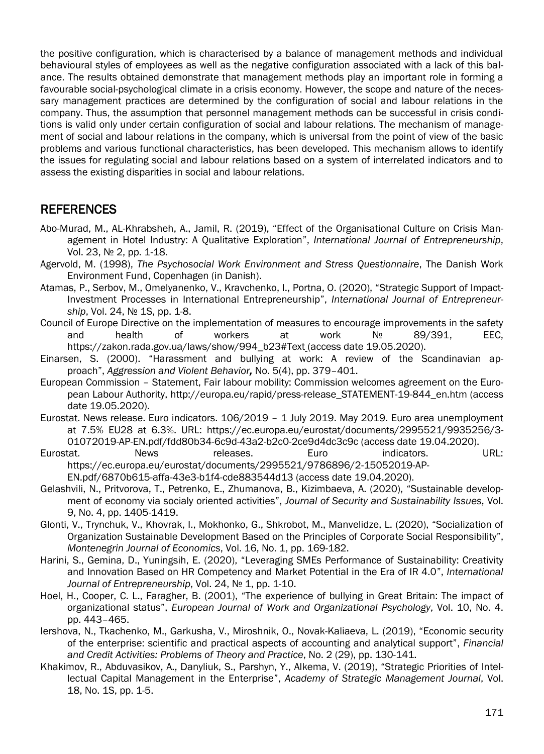the positive configuration, which is characterised by a balance of management methods and individual behavioural styles of employees as well as the negative configuration associated with a lack of this balance. The results obtained demonstrate that management methods play an important role in forming a favourable social-psychological climate in a crisis economy. However, the scope and nature of the necessary management practices are determined by the configuration of social and labour relations in the company. Thus, the assumption that personnel management methods can be successful in crisis conditions is valid only under certain configuration of social and labour relations. The mechanism of management of social and labour relations in the company, which is universal from the point of view of the basic problems and various functional characteristics, has been developed. This mechanism allows to identify the issues for regulating social and labour relations based on a system of interrelated indicators and to assess the existing disparities in social and labour relations.

#### REFERENCES

- Abo-Murad, M., AL-Khrabsheh, A., Jamil, R. (2019), "[Effect of the Organisational Culture on Crisis Man](https://www.abacademies.org/articles/effect-of-the-organisational-culture-on-crisis-management-in-hotel-industry-a-qualitative-exploration-8300.html)[agement in Hotel Industry: A Qualitative Exploration](https://www.abacademies.org/articles/effect-of-the-organisational-culture-on-crisis-management-in-hotel-industry-a-qualitative-exploration-8300.html)", *International Journal of Entrepreneurship*, Vol. 23, No 2, pp. 1-18.
- Agervold, M. (1998), *The Psychosocial Work Environment and Stress Questionnaire*, The Danish Work Environment Fund, Copenhagen (in Danish).
- Atamas, P., Serbov, M., Omelyanenko, V., Kravchenko, I., Portna, O. (2020), "Strategic Support of Impact-Investment Processes in International Entrepreneurship", *International Journal of Entrepreneur*ship, Vol. 24, No 1S, pp. 1-8.
- Council of Europe Directive on the implementation of measures to encourage improvements in the safety and health of workers at work № 89/391, EEC, https://zakon.rada.gov.ua/laws/show/994\_b23#Text\_(access date 19.05.2020).
- Einarsen, S. (2000). "Harassment and bullying at work: A review of the Scandinavian approach", *Aggression and Violent Behavior,* No. 5(4), pp. 379–401.
- European Commission Statement, Fair labour mobility: Commission welcomes agreement on the European Labour Authority, http://europa.eu/rapid/press-release\_STATEMENT-19-844\_en.htm (access date 19.05.2020).
- Eurostat. News release. Euro indicators. 106/2019 1 July 2019. May 2019. Euro area unemployment at 7.5% EU28 at 6.3%. URL: https://ec.europa.eu/eurostat/documents/2995521/9935256/3- 01072019-AP-EN.pdf/fdd80b34-6c9d-43a2-b2c0-2ce9d4dc3c9c (access date 19.04.2020).
- Eurostat. Mews releases. Euro indicators. URL: https://ec.europa.eu/eurostat/documents/2995521/9786896/2-15052019-AP-
- EN.pdf/6870b615-affa-43e3-b1f4-cde883544d13 (access date 19.04.2020). Gelashvili, N., Pritvorova, T., Petrenko, E., Zhumanova, B., Kizimbaeva, A. (2020), "Sustainable develop-
- ment of economy via socialy oriented activities", *Journal of Security and Sustainability Issues*, Vol. 9, No. 4, pp. 1405-1419.
- Glonti, V., Trynchuk, V., Khovrak, I., Mokhonko, G., Shkrobot, M., Manvelidze, L. (2020), "Socialization of Organization Sustainable Development Based on the Principles of Corporate Social Responsibility", *Montenegrin Journal of Economics*, Vol. 16, No. 1, pp. 169-182.
- Harini, S., Gemina, D., Yuningsih, E. (2020), "Leveraging SMEs Performance of Sustainability: Creativity and Innovation Based on HR Competency and Market Potential in the Era of IR 4.0", *International Journal of Entrepreneurship*, Vol. 24, № 1, pp. 1-10.
- Hoel, H., Cooper, C. L., Faragher, B. (2001), "The experience of bullying in Great Britain: The impact of organizational status", *European Journal of Work and Organizational Psychology*, Vol. 10, No. 4. pp. 443–465.
- Iershova, N., Tkachenko, М., Garkusha, V., Miroshnik, О., Novak-Kaliaeva, L. (2019), "Economic security of the enterprise: scientific and practical aspects of accounting and analytical support", *Financial and Credit Activities: Problems of Theory and Practice*, No. 2 (29), pp. 130-141.
- Khakimov, R., Abduvasikov, A., Danyliuk, S., Parshyn, Y., Alkema, V. (2019), "Strategic Priorities of Intellectual Capital Management in the Enterprise", *Academy of Strategic Management Journal*, Vol. 18, No. 1S, pp. 1-5.